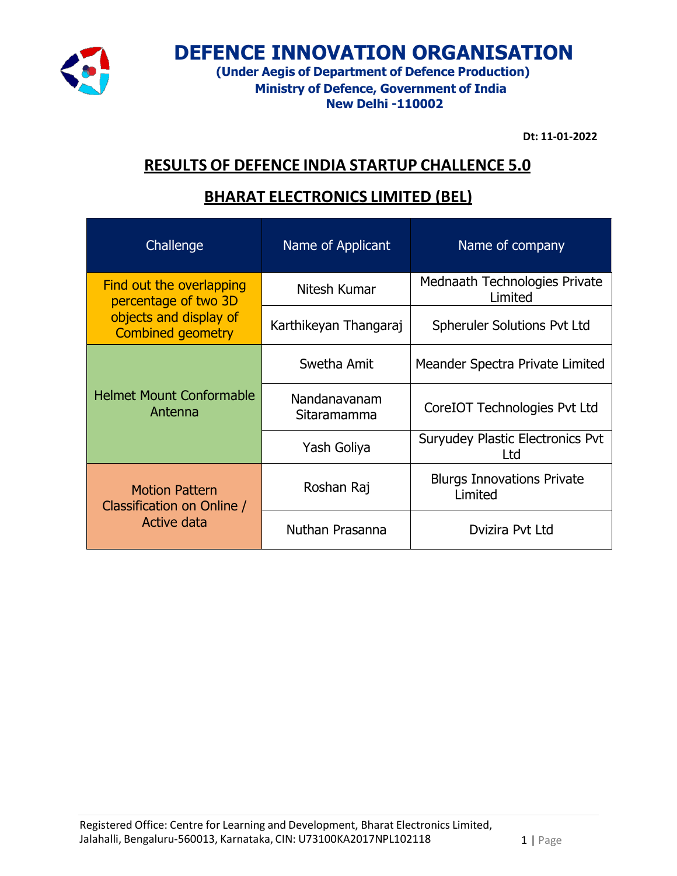

# **DEFENCE INNOVATION ORGANISATION**

**(Under Aegis of Department of Defence Production) Ministry of Defence, Government of India New Delhi -110002**

**Dt: 11-01-2022**

## **RESULTS OF DEFENCE INDIA STARTUP CHALLENCE 5.0**

#### **BHARAT ELECTRONICS LIMITED (BEL)**

| Challenge                                                          | Name of Applicant           | Name of company                                |
|--------------------------------------------------------------------|-----------------------------|------------------------------------------------|
| Find out the overlapping<br>percentage of two 3D                   | Nitesh Kumar                | Mednaath Technologies Private<br>Limited       |
| objects and display of<br><b>Combined geometry</b>                 | Karthikeyan Thangaraj       | <b>Spheruler Solutions Pvt Ltd</b>             |
| <b>Helmet Mount Conformable</b><br>Antenna                         | Swetha Amit                 | Meander Spectra Private Limited                |
|                                                                    | Nandanavanam<br>Sitaramamma | CoreIOT Technologies Pvt Ltd                   |
|                                                                    | Yash Goliya                 | <b>Suryudey Plastic Electronics Pvt</b><br>Ltd |
| <b>Motion Pattern</b><br>Classification on Online /<br>Active data | Roshan Raj                  | <b>Blurgs Innovations Private</b><br>Limited   |
|                                                                    | Nuthan Prasanna             | Dvizira Pvt Ltd                                |